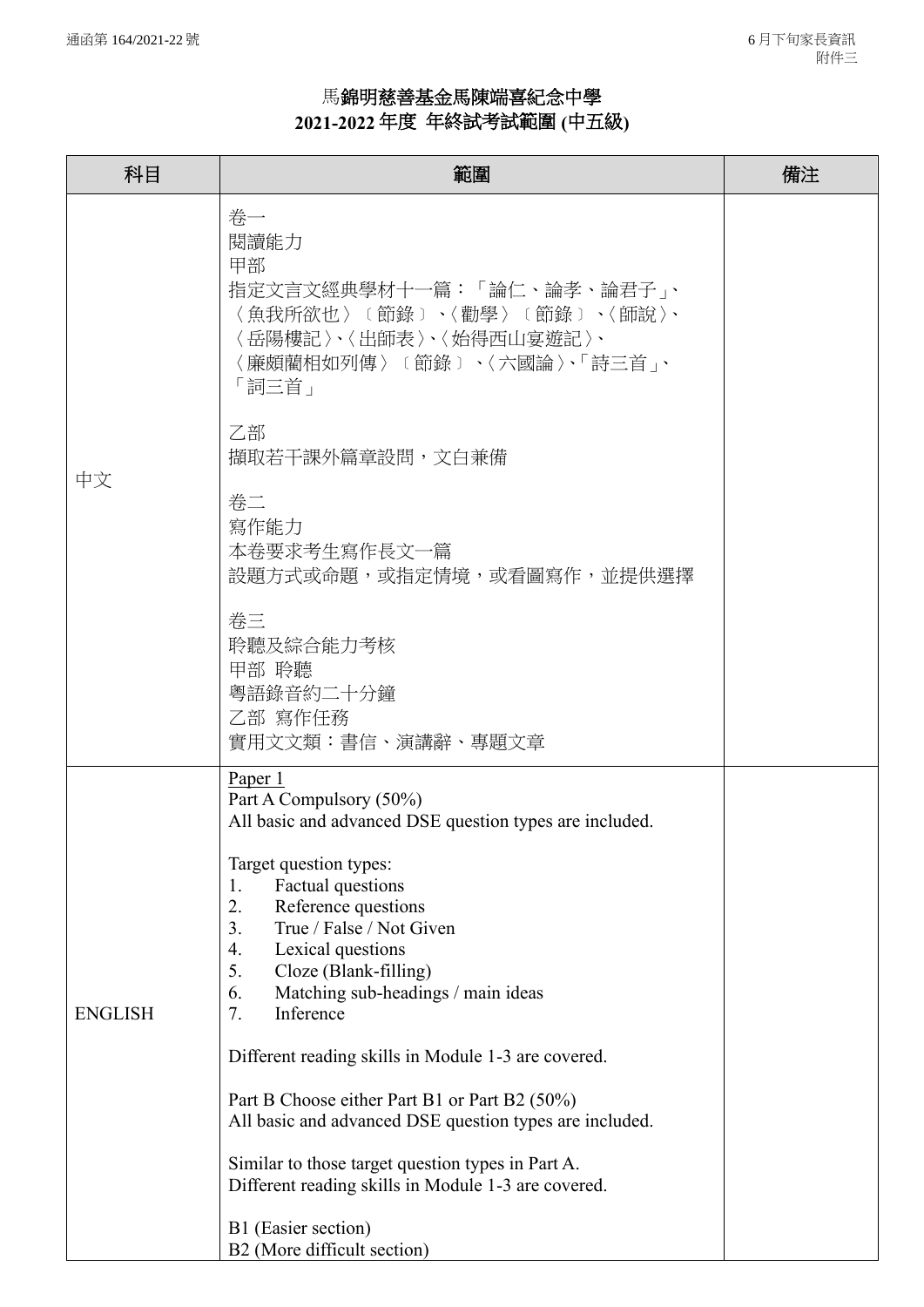## 馬錦明慈善基金馬陳端喜紀念中學 **2021-2022** 年度年終試考試範圍 **(**中五級**)**

| 科目             | 範圍                                                                                                                                                                                                                                                                                                                                                                                                                                                                                                                       | 備注 |
|----------------|--------------------------------------------------------------------------------------------------------------------------------------------------------------------------------------------------------------------------------------------------------------------------------------------------------------------------------------------------------------------------------------------------------------------------------------------------------------------------------------------------------------------------|----|
| 中文             | 卷一<br>閱讀能力<br>甲部<br>指定文言文經典學材十一篇:「論仁、論孝、論君子」、<br>〈魚我所欲也〉〔節錄〕、〈勸學〉〔節錄〕、〈師說〉、<br>〈岳陽樓記〉、〈出師表〉、〈始得西山宴遊記〉、<br>〈廉頗藺相如列傳〉〔節錄〕、〈六國論〉、「詩三首」、<br>「詞三首」                                                                                                                                                                                                                                                                                                                                                                            |    |
|                | 乙部<br>擷取若干課外篇章設問,文白兼備                                                                                                                                                                                                                                                                                                                                                                                                                                                                                                    |    |
|                | 卷二<br>寫作能力<br>本卷要求考生寫作長文一篇<br>設題方式或命題,或指定情境,或看圖寫作,並提供選擇                                                                                                                                                                                                                                                                                                                                                                                                                                                                  |    |
|                | 卷三<br>聆聽及綜合能力考核<br>甲部 聆聽<br>粤語錄音約二十分鐘<br>乙部 寫作任務<br>實用文文類:書信、演講辭、專題文章                                                                                                                                                                                                                                                                                                                                                                                                                                                    |    |
| <b>ENGLISH</b> | Paper 1<br>Part A Compulsory (50%)<br>All basic and advanced DSE question types are included.                                                                                                                                                                                                                                                                                                                                                                                                                            |    |
|                | Target question types:<br>Factual questions<br>1.<br>2.<br>Reference questions<br>3.<br>True / False / Not Given<br>4.<br>Lexical questions<br>5.<br>Cloze (Blank-filling)<br>6.<br>Matching sub-headings / main ideas<br>Inference<br>7.<br>Different reading skills in Module 1-3 are covered.<br>Part B Choose either Part B1 or Part B2 (50%)<br>All basic and advanced DSE question types are included.<br>Similar to those target question types in Part A.<br>Different reading skills in Module 1-3 are covered. |    |
|                | B1 (Easier section)<br>B2 (More difficult section)                                                                                                                                                                                                                                                                                                                                                                                                                                                                       |    |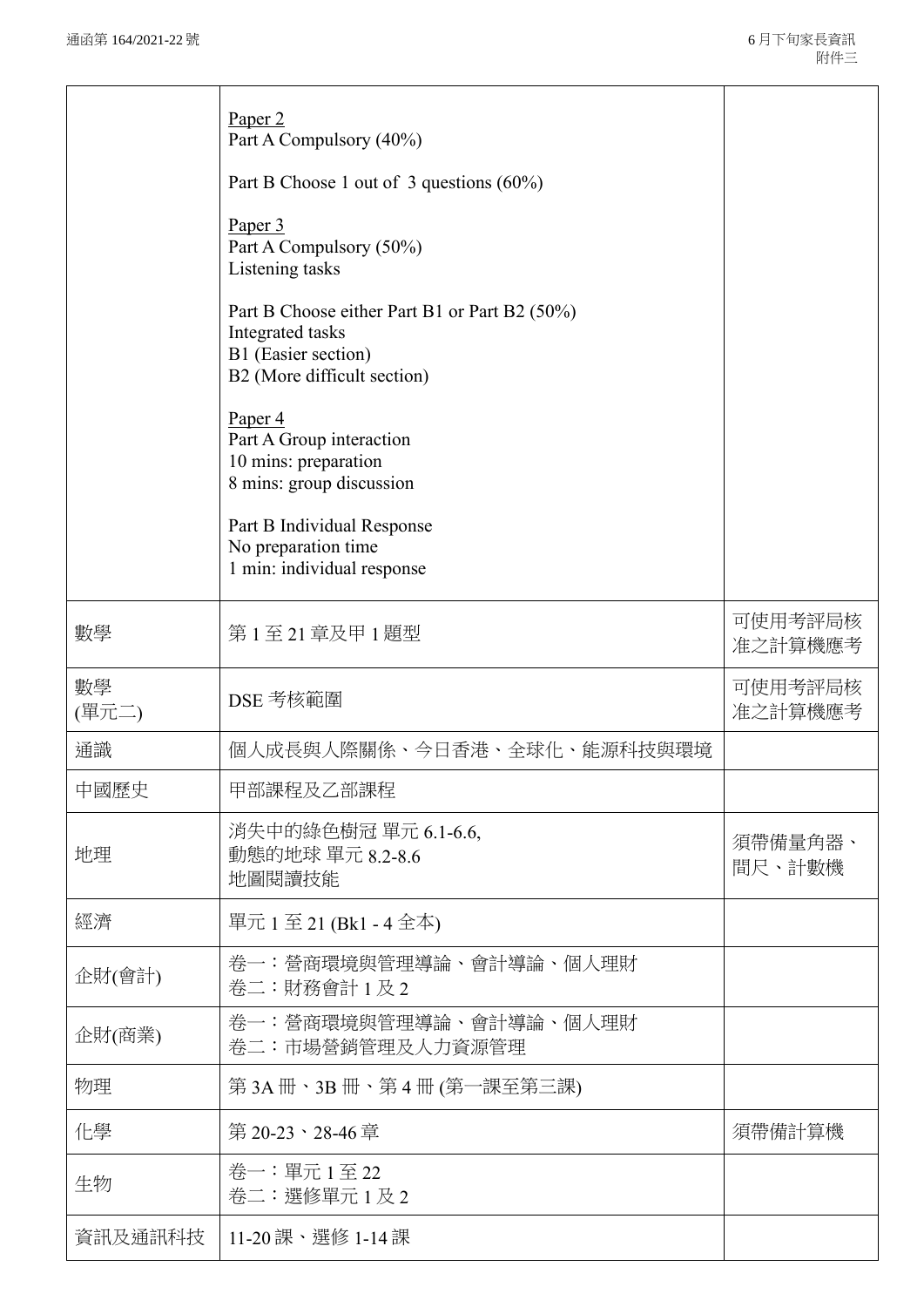|             | Paper 2<br>Part A Compulsory (40%)<br>Part B Choose 1 out of 3 questions $(60\%)$<br>Paper 3<br>Part A Compulsory (50%)<br>Listening tasks<br>Part B Choose either Part B1 or Part B2 (50%)<br>Integrated tasks<br>B1 (Easier section)<br>B2 (More difficult section)<br>Paper <sub>4</sub><br>Part A Group interaction<br>10 mins: preparation<br>8 mins: group discussion<br>Part B Individual Response<br>No preparation time<br>1 min: individual response |                    |
|-------------|----------------------------------------------------------------------------------------------------------------------------------------------------------------------------------------------------------------------------------------------------------------------------------------------------------------------------------------------------------------------------------------------------------------------------------------------------------------|--------------------|
| 數學          | 第1至21章及甲1題型                                                                                                                                                                                                                                                                                                                                                                                                                                                    | 可使用考評局核<br>准之計算機應考 |
| 數學<br>(單元二) | DSE 考核範圍                                                                                                                                                                                                                                                                                                                                                                                                                                                       | 可使用考評局核<br>准之計算機應考 |
| 通識          | 個人成長與人際關係、今日香港、全球化、能源科技與環境                                                                                                                                                                                                                                                                                                                                                                                                                                     |                    |
| 中國歷史        | 甲部課程及乙部課程                                                                                                                                                                                                                                                                                                                                                                                                                                                      |                    |
| 地理          | 消失中的綠色樹冠 單元 6.1-6.6,<br>動態的地球 單元 8.2-8.6<br>地圖閱讀技能                                                                                                                                                                                                                                                                                                                                                                                                             | 須帶備量角器、<br>間尺、計數機  |
| 經濟          | 單元 1至 21 (Bk1 - 4全本)                                                                                                                                                                                                                                                                                                                                                                                                                                           |                    |
| 企財(會計)      | 卷一:營商環境與管理導論、會計導論、個人理財<br>卷二:財務會計1及2                                                                                                                                                                                                                                                                                                                                                                                                                           |                    |
| 企財(商業)      | 卷一:營商環境與管理導論、會計導論、個人理財<br>卷二:市場營銷管理及人力資源管理                                                                                                                                                                                                                                                                                                                                                                                                                     |                    |
| 物理          | 第 3A 冊、3B 冊、第 4 冊 (第一課至第三課)                                                                                                                                                                                                                                                                                                                                                                                                                                    |                    |
| 化學          | 第20-23、28-46章                                                                                                                                                                                                                                                                                                                                                                                                                                                  | 須帶備計算機             |
| 生物          | 卷一:單元1至22<br>卷二:選修單元1及2                                                                                                                                                                                                                                                                                                                                                                                                                                        |                    |
| 資訊及通訊科技     | 11-20 課、選修 1-14 課                                                                                                                                                                                                                                                                                                                                                                                                                                              |                    |